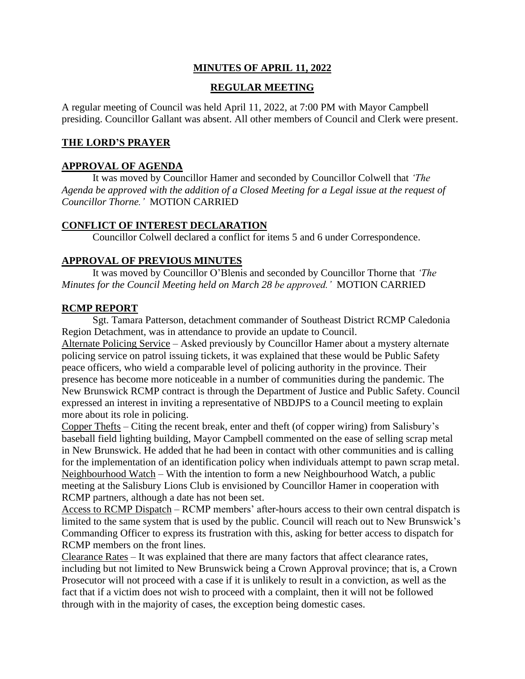# **MINUTES OF APRIL 11, 2022**

# **REGULAR MEETING**

A regular meeting of Council was held April 11, 2022, at 7:00 PM with Mayor Campbell presiding. Councillor Gallant was absent. All other members of Council and Clerk were present.

## **THE LORD'S PRAYER**

## **APPROVAL OF AGENDA**

It was moved by Councillor Hamer and seconded by Councillor Colwell that *'The Agenda be approved with the addition of a Closed Meeting for a Legal issue at the request of Councillor Thorne.'* MOTION CARRIED

## **CONFLICT OF INTEREST DECLARATION**

Councillor Colwell declared a conflict for items 5 and 6 under Correspondence.

## **APPROVAL OF PREVIOUS MINUTES**

It was moved by Councillor O'Blenis and seconded by Councillor Thorne that *'The Minutes for the Council Meeting held on March 28 be approved.'* MOTION CARRIED

## **RCMP REPORT**

Sgt. Tamara Patterson, detachment commander of Southeast District RCMP Caledonia Region Detachment, was in attendance to provide an update to Council.

Alternate Policing Service – Asked previously by Councillor Hamer about a mystery alternate policing service on patrol issuing tickets, it was explained that these would be Public Safety peace officers, who wield a comparable level of policing authority in the province. Their presence has become more noticeable in a number of communities during the pandemic. The New Brunswick RCMP contract is through the Department of Justice and Public Safety. Council expressed an interest in inviting a representative of NBDJPS to a Council meeting to explain more about its role in policing.

Copper Thefts – Citing the recent break, enter and theft (of copper wiring) from Salisbury's baseball field lighting building, Mayor Campbell commented on the ease of selling scrap metal in New Brunswick. He added that he had been in contact with other communities and is calling for the implementation of an identification policy when individuals attempt to pawn scrap metal. Neighbourhood Watch – With the intention to form a new Neighbourhood Watch, a public meeting at the Salisbury Lions Club is envisioned by Councillor Hamer in cooperation with RCMP partners, although a date has not been set.

Access to RCMP Dispatch – RCMP members' after-hours access to their own central dispatch is limited to the same system that is used by the public. Council will reach out to New Brunswick's Commanding Officer to express its frustration with this, asking for better access to dispatch for RCMP members on the front lines.

Clearance Rates – It was explained that there are many factors that affect clearance rates, including but not limited to New Brunswick being a Crown Approval province; that is, a Crown Prosecutor will not proceed with a case if it is unlikely to result in a conviction, as well as the fact that if a victim does not wish to proceed with a complaint, then it will not be followed through with in the majority of cases, the exception being domestic cases.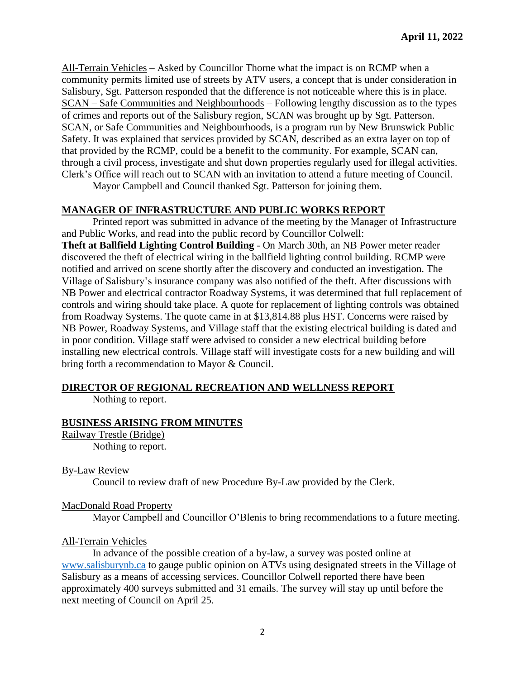All-Terrain Vehicles – Asked by Councillor Thorne what the impact is on RCMP when a community permits limited use of streets by ATV users, a concept that is under consideration in Salisbury, Sgt. Patterson responded that the difference is not noticeable where this is in place. SCAN – Safe Communities and Neighbourhoods – Following lengthy discussion as to the types of crimes and reports out of the Salisbury region, SCAN was brought up by Sgt. Patterson. SCAN, or Safe Communities and Neighbourhoods, is a program run by New Brunswick Public Safety. It was explained that services provided by SCAN, described as an extra layer on top of that provided by the RCMP, could be a benefit to the community. For example, SCAN can, through a civil process, investigate and shut down properties regularly used for illegal activities. Clerk's Office will reach out to SCAN with an invitation to attend a future meeting of Council.

Mayor Campbell and Council thanked Sgt. Patterson for joining them.

## **MANAGER OF INFRASTRUCTURE AND PUBLIC WORKS REPORT**

Printed report was submitted in advance of the meeting by the Manager of Infrastructure and Public Works, and read into the public record by Councillor Colwell: **Theft at Ballfield Lighting Control Building** - On March 30th, an NB Power meter reader discovered the theft of electrical wiring in the ballfield lighting control building. RCMP were notified and arrived on scene shortly after the discovery and conducted an investigation. The Village of Salisbury's insurance company was also notified of the theft. After discussions with NB Power and electrical contractor Roadway Systems, it was determined that full replacement of controls and wiring should take place. A quote for replacement of lighting controls was obtained from Roadway Systems. The quote came in at \$13,814.88 plus HST. Concerns were raised by NB Power, Roadway Systems, and Village staff that the existing electrical building is dated and in poor condition. Village staff were advised to consider a new electrical building before installing new electrical controls. Village staff will investigate costs for a new building and will bring forth a recommendation to Mayor & Council.

#### **DIRECTOR OF REGIONAL RECREATION AND WELLNESS REPORT**

Nothing to report.

#### **BUSINESS ARISING FROM MINUTES**

Railway Trestle (Bridge) Nothing to report.

#### By-Law Review

Council to review draft of new Procedure By-Law provided by the Clerk.

#### MacDonald Road Property

Mayor Campbell and Councillor O'Blenis to bring recommendations to a future meeting.

#### All-Terrain Vehicles

In advance of the possible creation of a by-law, a survey was posted online at [www.salisburynb.ca](http://www.salisburynb.ca/) to gauge public opinion on ATVs using designated streets in the Village of Salisbury as a means of accessing services. Councillor Colwell reported there have been approximately 400 surveys submitted and 31 emails. The survey will stay up until before the next meeting of Council on April 25.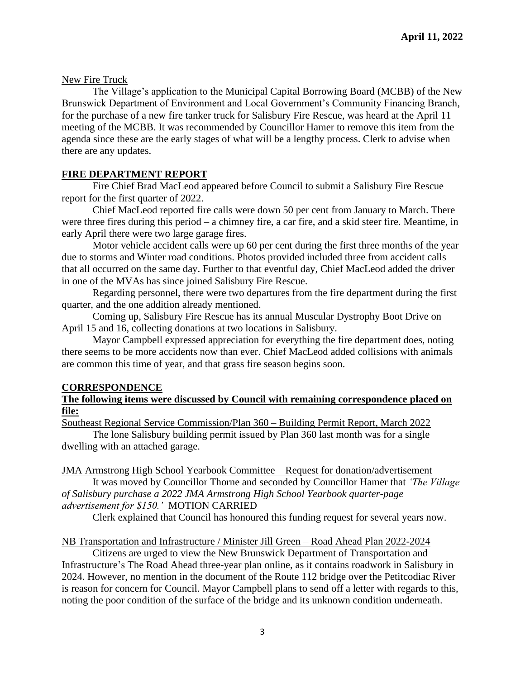## New Fire Truck

The Village's application to the Municipal Capital Borrowing Board (MCBB) of the New Brunswick Department of Environment and Local Government's Community Financing Branch, for the purchase of a new fire tanker truck for Salisbury Fire Rescue, was heard at the April 11 meeting of the MCBB. It was recommended by Councillor Hamer to remove this item from the agenda since these are the early stages of what will be a lengthy process. Clerk to advise when there are any updates.

## **FIRE DEPARTMENT REPORT**

Fire Chief Brad MacLeod appeared before Council to submit a Salisbury Fire Rescue report for the first quarter of 2022.

Chief MacLeod reported fire calls were down 50 per cent from January to March. There were three fires during this period – a chimney fire, a car fire, and a skid steer fire. Meantime, in early April there were two large garage fires.

Motor vehicle accident calls were up 60 per cent during the first three months of the year due to storms and Winter road conditions. Photos provided included three from accident calls that all occurred on the same day. Further to that eventful day, Chief MacLeod added the driver in one of the MVAs has since joined Salisbury Fire Rescue.

Regarding personnel, there were two departures from the fire department during the first quarter, and the one addition already mentioned.

Coming up, Salisbury Fire Rescue has its annual Muscular Dystrophy Boot Drive on April 15 and 16, collecting donations at two locations in Salisbury.

Mayor Campbell expressed appreciation for everything the fire department does, noting there seems to be more accidents now than ever. Chief MacLeod added collisions with animals are common this time of year, and that grass fire season begins soon.

#### **CORRESPONDENCE**

## **The following items were discussed by Council with remaining correspondence placed on file:**

Southeast Regional Service Commission/Plan 360 – Building Permit Report, March 2022

The lone Salisbury building permit issued by Plan 360 last month was for a single dwelling with an attached garage.

#### JMA Armstrong High School Yearbook Committee – Request for donation/advertisement

It was moved by Councillor Thorne and seconded by Councillor Hamer that *'The Village of Salisbury purchase a 2022 JMA Armstrong High School Yearbook quarter-page advertisement for \$150.'* MOTION CARRIED

Clerk explained that Council has honoured this funding request for several years now.

#### NB Transportation and Infrastructure / Minister Jill Green – Road Ahead Plan 2022-2024

Citizens are urged to view the New Brunswick Department of Transportation and Infrastructure's The Road Ahead three-year plan online, as it contains roadwork in Salisbury in 2024. However, no mention in the document of the Route 112 bridge over the Petitcodiac River is reason for concern for Council. Mayor Campbell plans to send off a letter with regards to this, noting the poor condition of the surface of the bridge and its unknown condition underneath.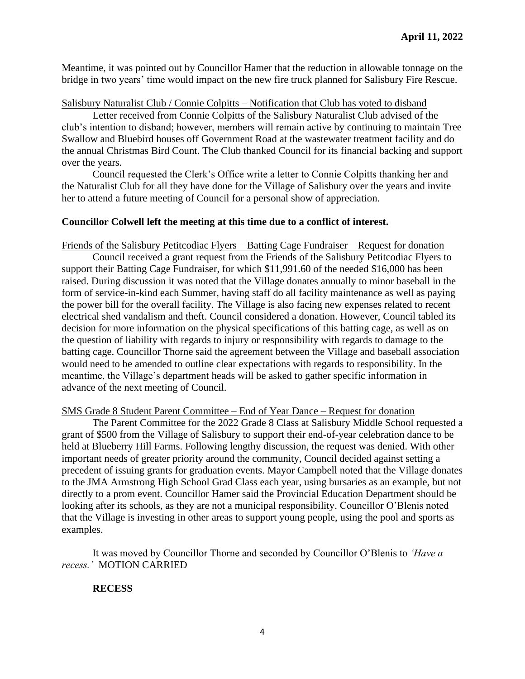Meantime, it was pointed out by Councillor Hamer that the reduction in allowable tonnage on the bridge in two years' time would impact on the new fire truck planned for Salisbury Fire Rescue.

#### Salisbury Naturalist Club / Connie Colpitts – Notification that Club has voted to disband

Letter received from Connie Colpitts of the Salisbury Naturalist Club advised of the club's intention to disband; however, members will remain active by continuing to maintain Tree Swallow and Bluebird houses off Government Road at the wastewater treatment facility and do the annual Christmas Bird Count. The Club thanked Council for its financial backing and support over the years.

Council requested the Clerk's Office write a letter to Connie Colpitts thanking her and the Naturalist Club for all they have done for the Village of Salisbury over the years and invite her to attend a future meeting of Council for a personal show of appreciation.

#### **Councillor Colwell left the meeting at this time due to a conflict of interest.**

Friends of the Salisbury Petitcodiac Flyers – Batting Cage Fundraiser – Request for donation

Council received a grant request from the Friends of the Salisbury Petitcodiac Flyers to support their Batting Cage Fundraiser, for which \$11,991.60 of the needed \$16,000 has been raised. During discussion it was noted that the Village donates annually to minor baseball in the form of service-in-kind each Summer, having staff do all facility maintenance as well as paying the power bill for the overall facility. The Village is also facing new expenses related to recent electrical shed vandalism and theft. Council considered a donation. However, Council tabled its decision for more information on the physical specifications of this batting cage, as well as on the question of liability with regards to injury or responsibility with regards to damage to the batting cage. Councillor Thorne said the agreement between the Village and baseball association would need to be amended to outline clear expectations with regards to responsibility. In the meantime, the Village's department heads will be asked to gather specific information in advance of the next meeting of Council.

#### SMS Grade 8 Student Parent Committee – End of Year Dance – Request for donation

The Parent Committee for the 2022 Grade 8 Class at Salisbury Middle School requested a grant of \$500 from the Village of Salisbury to support their end-of-year celebration dance to be held at Blueberry Hill Farms. Following lengthy discussion, the request was denied. With other important needs of greater priority around the community, Council decided against setting a precedent of issuing grants for graduation events. Mayor Campbell noted that the Village donates to the JMA Armstrong High School Grad Class each year, using bursaries as an example, but not directly to a prom event. Councillor Hamer said the Provincial Education Department should be looking after its schools, as they are not a municipal responsibility. Councillor O'Blenis noted that the Village is investing in other areas to support young people, using the pool and sports as examples.

It was moved by Councillor Thorne and seconded by Councillor O'Blenis to *'Have a recess.'* MOTION CARRIED

#### **RECESS**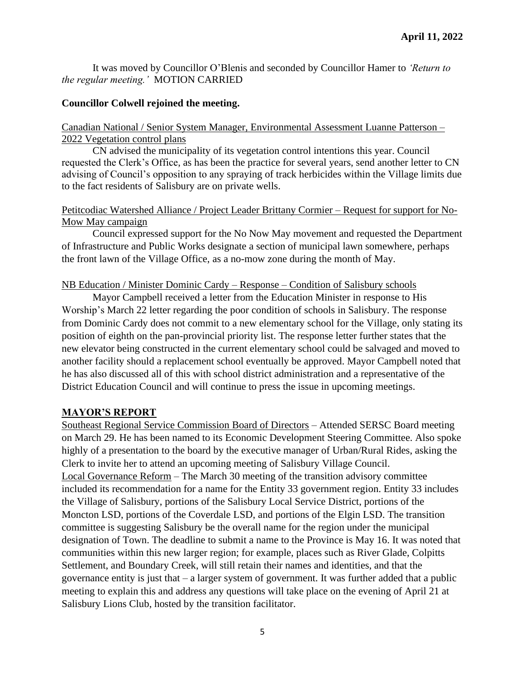It was moved by Councillor O'Blenis and seconded by Councillor Hamer to *'Return to the regular meeting.'* MOTION CARRIED

## **Councillor Colwell rejoined the meeting.**

## Canadian National / Senior System Manager, Environmental Assessment Luanne Patterson – 2022 Vegetation control plans

CN advised the municipality of its vegetation control intentions this year. Council requested the Clerk's Office, as has been the practice for several years, send another letter to CN advising of Council's opposition to any spraying of track herbicides within the Village limits due to the fact residents of Salisbury are on private wells.

## Petitcodiac Watershed Alliance / Project Leader Brittany Cormier – Request for support for No-Mow May campaign

Council expressed support for the No Now May movement and requested the Department of Infrastructure and Public Works designate a section of municipal lawn somewhere, perhaps the front lawn of the Village Office, as a no-mow zone during the month of May.

## NB Education / Minister Dominic Cardy – Response – Condition of Salisbury schools

Mayor Campbell received a letter from the Education Minister in response to His Worship's March 22 letter regarding the poor condition of schools in Salisbury. The response from Dominic Cardy does not commit to a new elementary school for the Village, only stating its position of eighth on the pan-provincial priority list. The response letter further states that the new elevator being constructed in the current elementary school could be salvaged and moved to another facility should a replacement school eventually be approved. Mayor Campbell noted that he has also discussed all of this with school district administration and a representative of the District Education Council and will continue to press the issue in upcoming meetings.

# **MAYOR'S REPORT**

Southeast Regional Service Commission Board of Directors – Attended SERSC Board meeting on March 29. He has been named to its Economic Development Steering Committee. Also spoke highly of a presentation to the board by the executive manager of Urban/Rural Rides, asking the Clerk to invite her to attend an upcoming meeting of Salisbury Village Council. Local Governance Reform – The March 30 meeting of the transition advisory committee included its recommendation for a name for the Entity 33 government region. Entity 33 includes the Village of Salisbury, portions of the Salisbury Local Service District, portions of the Moncton LSD, portions of the Coverdale LSD, and portions of the Elgin LSD. The transition committee is suggesting Salisbury be the overall name for the region under the municipal designation of Town. The deadline to submit a name to the Province is May 16. It was noted that communities within this new larger region; for example, places such as River Glade, Colpitts Settlement, and Boundary Creek, will still retain their names and identities, and that the governance entity is just that – a larger system of government. It was further added that a public meeting to explain this and address any questions will take place on the evening of April 21 at Salisbury Lions Club, hosted by the transition facilitator.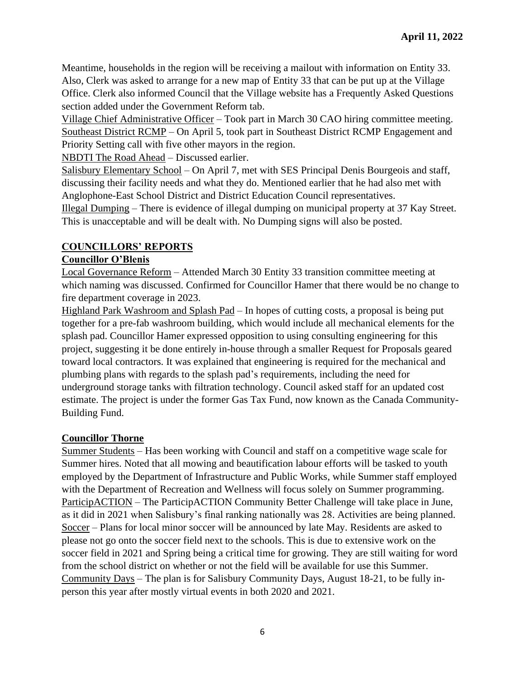Meantime, households in the region will be receiving a mailout with information on Entity 33. Also, Clerk was asked to arrange for a new map of Entity 33 that can be put up at the Village Office. Clerk also informed Council that the Village website has a Frequently Asked Questions section added under the Government Reform tab.

Village Chief Administrative Officer – Took part in March 30 CAO hiring committee meeting. Southeast District RCMP – On April 5, took part in Southeast District RCMP Engagement and Priority Setting call with five other mayors in the region.

NBDTI The Road Ahead – Discussed earlier.

Salisbury Elementary School – On April 7, met with SES Principal Denis Bourgeois and staff, discussing their facility needs and what they do. Mentioned earlier that he had also met with Anglophone-East School District and District Education Council representatives.

Illegal Dumping – There is evidence of illegal dumping on municipal property at 37 Kay Street. This is unacceptable and will be dealt with. No Dumping signs will also be posted.

# **COUNCILLORS' REPORTS**

# **Councillor O'Blenis**

Local Governance Reform – Attended March 30 Entity 33 transition committee meeting at which naming was discussed. Confirmed for Councillor Hamer that there would be no change to fire department coverage in 2023.

Highland Park Washroom and Splash Pad – In hopes of cutting costs, a proposal is being put together for a pre-fab washroom building, which would include all mechanical elements for the splash pad. Councillor Hamer expressed opposition to using consulting engineering for this project, suggesting it be done entirely in-house through a smaller Request for Proposals geared toward local contractors. It was explained that engineering is required for the mechanical and plumbing plans with regards to the splash pad's requirements, including the need for underground storage tanks with filtration technology. Council asked staff for an updated cost estimate. The project is under the former Gas Tax Fund, now known as the Canada Community-Building Fund.

# **Councillor Thorne**

Summer Students – Has been working with Council and staff on a competitive wage scale for Summer hires. Noted that all mowing and beautification labour efforts will be tasked to youth employed by the Department of Infrastructure and Public Works, while Summer staff employed with the Department of Recreation and Wellness will focus solely on Summer programming. ParticipACTION – The ParticipACTION Community Better Challenge will take place in June, as it did in 2021 when Salisbury's final ranking nationally was 28. Activities are being planned. Soccer – Plans for local minor soccer will be announced by late May. Residents are asked to please not go onto the soccer field next to the schools. This is due to extensive work on the soccer field in 2021 and Spring being a critical time for growing. They are still waiting for word from the school district on whether or not the field will be available for use this Summer. Community Days – The plan is for Salisbury Community Days, August 18-21, to be fully inperson this year after mostly virtual events in both 2020 and 2021.